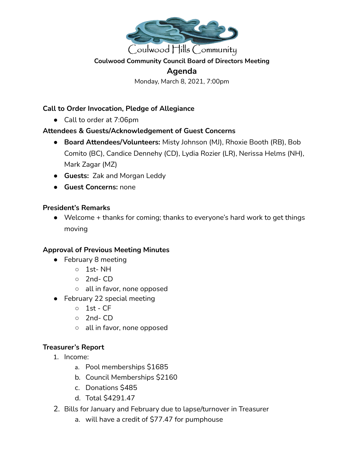

#### **Coulwood Community Council Board of Directors Meeting**

# **Agenda**

Monday, March 8, 2021, 7:00pm

### **Call to Order Invocation, Pledge of Allegiance**

● Call to order at 7:06pm

### **Attendees & Guests/Acknowledgement of Guest Concerns**

- **● Board Attendees/Volunteers:** Misty Johnson (MJ), Rhoxie Booth (RB), Bob Comito (BC), Candice Dennehy (CD), Lydia Rozier (LR), Nerissa Helms (NH), Mark Zagar (MZ)
- **● Guests:** Zak and Morgan Leddy
- **Guest Concerns:** none

### **President's Remarks**

● Welcome + thanks for coming; thanks to everyone's hard work to get things moving

### **Approval of Previous Meeting Minutes**

- February 8 meeting
	- 1st- NH
	- 2nd- CD
	- all in favor, none opposed
- February 22 special meeting
	- 1st CF
	- 2nd- CD
	- all in favor, none opposed

### **Treasurer's Report**

- 1. Income:
	- a. Pool memberships \$1685
	- b. Council Memberships \$2160
	- c. Donations \$485
	- d. Total \$4291.47
- 2. Bills for January and February due to lapse/turnover in Treasurer
	- a. will have a credit of \$77.47 for pumphouse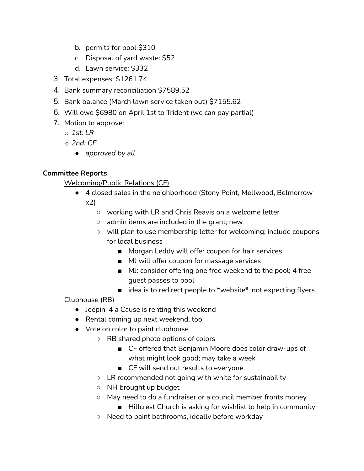- b. permits for pool \$310
- c. Disposal of yard waste: \$52
- d. Lawn service: \$332
- 3. Total expenses: \$1261.74
- 4. Bank summary reconciliation \$7589.52
- 5. Bank balance (March lawn service taken out) \$7155.62
- 6. Will owe \$6980 on April 1st to Trident (we can pay partial)
- 7. Motion to approve:
	- *o 1st: LR*
	- *o 2nd: CF*
		- *● approved by all*

# **Committee Reports**

Welcoming/Public Relations (CF)

- 4 closed sales in the neighborhood (Stony Point, Mellwood, Belmorrow x2)
	- working with LR and Chris Reavis on a welcome letter
	- admin items are included in the grant; new
	- will plan to use membership letter for welcoming; include coupons for local business
		- Morgan Leddy will offer coupon for hair services
		- MJ will offer coupon for massage services
		- MJ: consider offering one free weekend to the pool; 4 free guest passes to pool
		- idea is to redirect people to \*website\*, not expecting flyers

## Clubhouse (RB)

- Jeepin' 4 a Cause is renting this weekend
- Rental coming up next weekend, too
- Vote on color to paint clubhouse
	- RB shared photo options of colors
		- CF offered that Benjamin Moore does color draw-ups of what might look good; may take a week
		- CF will send out results to everyone
	- LR recommended not going with white for sustainability
	- NH brought up budget
	- May need to do a fundraiser or a council member fronts money
		- Hillcrest Church is asking for wishlist to help in community
	- Need to paint bathrooms, ideally before workday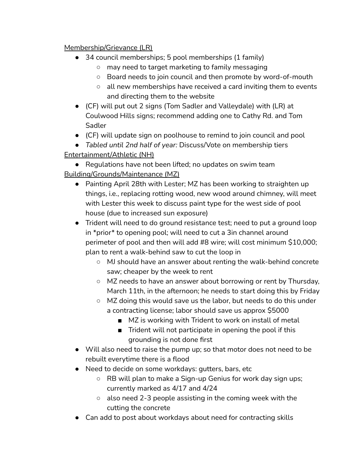## Membership/Grievance (LR)

- 34 council memberships; 5 pool memberships (1 family)
	- may need to target marketing to family messaging
	- Board needs to join council and then promote by word-of-mouth
	- all new memberships have received a card inviting them to events and directing them to the website
- (CF) will put out 2 signs (Tom Sadler and Valleydale) with (LR) at Coulwood Hills signs; recommend adding one to Cathy Rd. and Tom Sadler
- (CF) will update sign on poolhouse to remind to join council and pool
- *Tabled until 2nd half of year:* Discuss/Vote on membership tiers Entertainment/Athletic (NH)

● Regulations have not been lifted; no updates on swim team Building/Grounds/Maintenance (MZ)

- *●* Painting April 28th with Lester; MZ has been working to straighten up things, i.e., replacing rotting wood, new wood around chimney, will meet with Lester this week to discuss paint type for the west side of pool house (due to increased sun exposure)
- Trident will need to do ground resistance test; need to put a ground loop in \*prior\* to opening pool; will need to cut a 3in channel around perimeter of pool and then will add #8 wire; will cost minimum \$10,000; plan to rent a walk-behind saw to cut the loop in
	- MJ should have an answer about renting the walk-behind concrete saw; cheaper by the week to rent
	- MZ needs to have an answer about borrowing or rent by Thursday, March 11th, in the afternoon; he needs to start doing this by Friday
	- MZ doing this would save us the labor, but needs to do this under a contracting license; labor should save us approx \$5000
		- MZ is working with Trident to work on install of metal
		- Trident will not participate in opening the pool if this grounding is not done first
- Will also need to raise the pump up; so that motor does not need to be rebuilt everytime there is a flood
- Need to decide on some workdays: gutters, bars, etc
	- RB will plan to make a Sign-up Genius for work day sign ups; currently marked as 4/17 and 4/24
	- also need 2-3 people assisting in the coming week with the cutting the concrete
- Can add to post about workdays about need for contracting skills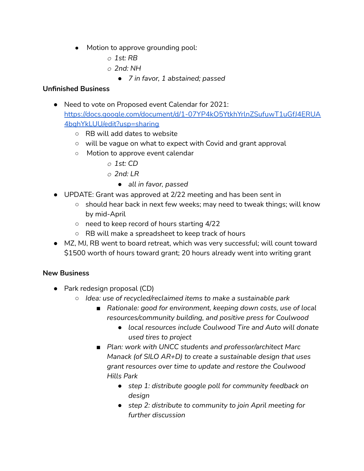- *●* Motion to approve grounding pool:
	- *o 1st: RB*
	- *o 2nd: NH*
		- *● 7 in favor, 1 abstained; passed*

### **Unfinished Business**

- Need to vote on Proposed event Calendar for 2021: [https://docs.google.com/document/d/1-07YP4kO5YtkhYrlnZSufuwT1uGfJ4ERUA](https://docs.google.com/document/d/1-07YP4kO5YtkhYrlnZSufuwT1uGfJ4ERUA4bqhYkLUU/edit?usp=sharing) [4bqhYkLUU/edit?usp=sharing](https://docs.google.com/document/d/1-07YP4kO5YtkhYrlnZSufuwT1uGfJ4ERUA4bqhYkLUU/edit?usp=sharing)
	- RB will add dates to website
	- will be vague on what to expect with Covid and grant approval
	- *○* Motion to approve event calendar
		- *o 1st: CD*
		- *o 2nd: LR*
			- *● all in favor, passed*
- UPDATE: Grant was approved at 2/22 meeting and has been sent in
	- should hear back in next few weeks; may need to tweak things; will know by mid-April
	- need to keep record of hours starting 4/22
	- RB will make a spreadsheet to keep track of hours
- MZ, MJ, RB went to board retreat, which was very successful; will count toward \$1500 worth of hours toward grant; 20 hours already went into writing grant

### **New Business**

- Park redesign proposal (CD)
	- *○ Idea: use of recycled/reclaimed items to make a sustainable park*
		- *■ Rationale: good for environment, keeping down costs, use of local resources/community building, and positive press for Coulwood*
			- *● local resources include Coulwood Tire and Auto will donate used tires to project*
		- *■ Plan: work with UNCC students and professor/architect Marc Manack (of SILO AR+D) to create a sustainable design that uses grant resources over time to update and restore the Coulwood Hills Park*
			- *● step 1: distribute google poll for community feedback on design*
			- *● step 2: distribute to community to join April meeting for further discussion*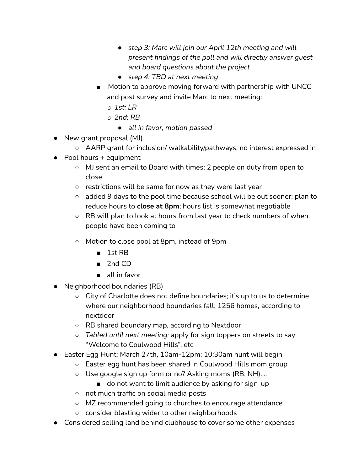- *● step 3: Marc will join our April 12th meeting and will present findings of the poll and will directly answer guest and board questions about the project*
- *● step 4: TBD at next meeting*
- Motion to approve moving forward with partnership with UNCC and post survey and invite Marc to next meeting:
	- *o 1st: LR*
	- *o 2nd: RB*
		- *● all in favor, motion passed*
- New grant proposal (MJ)
	- AARP grant for inclusion/ walkability/pathways; no interest expressed in
- $\bullet$  Pool hours + equipment
	- MJ sent an email to Board with times; 2 people on duty from open to close
	- restrictions will be same for now as they were last year
	- added 9 days to the pool time because school will be out sooner; plan to reduce hours to **close at 8pm**; hours list is somewhat negotiable
	- RB will plan to look at hours from last year to check numbers of when people have been coming to
	- Motion to close pool at 8pm, instead of 9pm
		- 1st RB
		- 2nd CD
		- all in favor
- Neighborhood boundaries (RB)
	- $\circ$  City of Charlotte does not define boundaries; it's up to us to determine where our neighborhood boundaries fall; 1256 homes, according to nextdoor
	- RB shared boundary map, according to Nextdoor
	- *○ Tabled until next meeting:* apply for sign toppers on streets to say "Welcome to Coulwood Hills", etc
- Easter Egg Hunt: March 27th, 10am-12pm; 10:30am hunt will begin
	- Easter egg hunt has been shared in Coulwood Hills mom group
	- Use google sign up form or no? Asking moms (RB, NH)....
		- do not want to limit audience by asking for sign-up
	- not much traffic on social media posts
	- MZ recommended going to churches to encourage attendance
	- consider blasting wider to other neighborhoods
- Considered selling land behind clubhouse to cover some other expenses